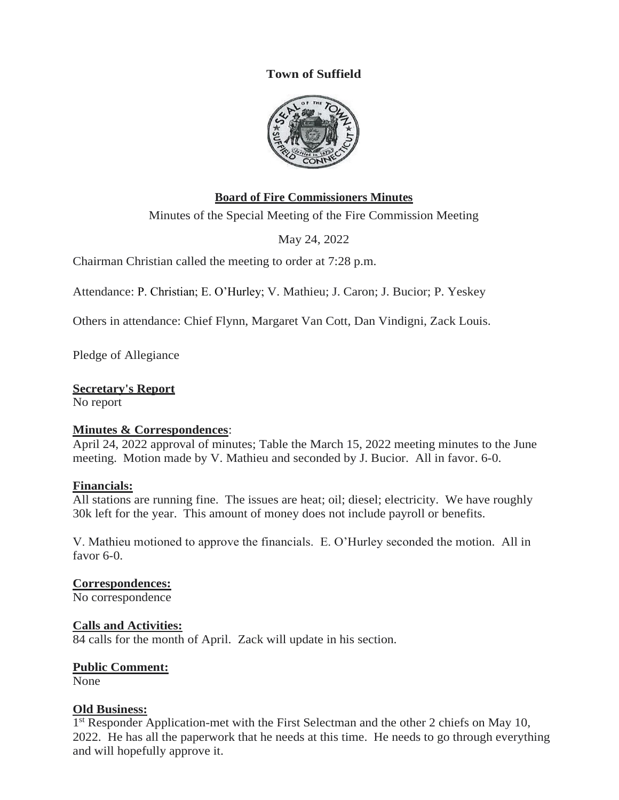## **Town of Suffield**



## **Board of Fire Commissioners Minutes**

Minutes of the Special Meeting of the Fire Commission Meeting

May 24, 2022

Chairman Christian called the meeting to order at 7:28 p.m.

Attendance: P. Christian; E. O'Hurley; V. Mathieu; J. Caron; J. Bucior; P. Yeskey

Others in attendance: Chief Flynn, Margaret Van Cott, Dan Vindigni, Zack Louis.

Pledge of Allegiance

## **Secretary's Report**

No report

#### **Minutes & Correspondences**:

April 24, 2022 approval of minutes; Table the March 15, 2022 meeting minutes to the June meeting. Motion made by V. Mathieu and seconded by J. Bucior. All in favor. 6-0.

#### **Financials:**

All stations are running fine. The issues are heat; oil; diesel; electricity. We have roughly 30k left for the year. This amount of money does not include payroll or benefits.

V. Mathieu motioned to approve the financials. E. O'Hurley seconded the motion. All in favor 6-0.

#### **Correspondences:**

No correspondence

#### **Calls and Activities:**

84 calls for the month of April. Zack will update in his section.

#### **Public Comment:**

None

#### **Old Business:**

<sup>1st</sup> Responder Application-met with the First Selectman and the other 2 chiefs on May 10, 2022. He has all the paperwork that he needs at this time. He needs to go through everything and will hopefully approve it.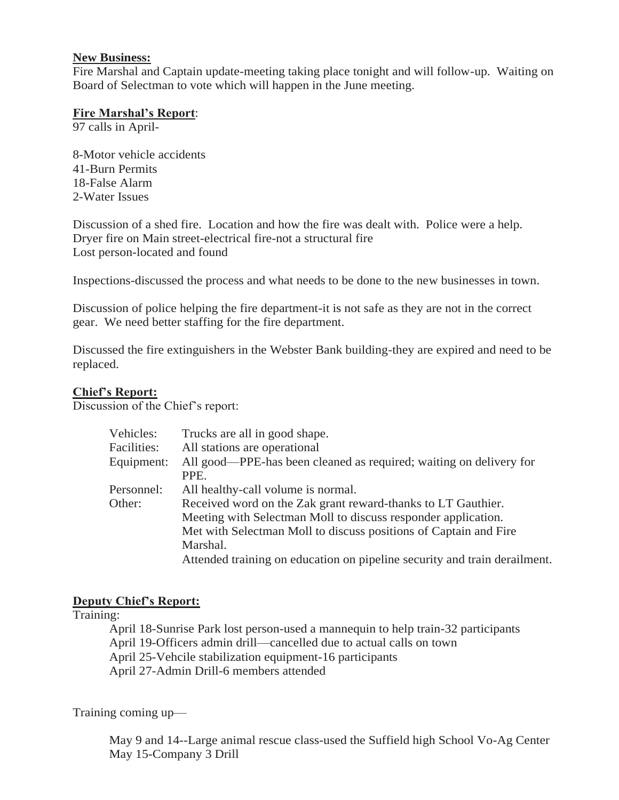# **New Business:**

Fire Marshal and Captain update-meeting taking place tonight and will follow-up. Waiting on Board of Selectman to vote which will happen in the June meeting.

## **Fire Marshal's Report**:

97 calls in April-

8-Motor vehicle accidents 41-Burn Permits 18-False Alarm 2-Water Issues

Discussion of a shed fire. Location and how the fire was dealt with. Police were a help. Dryer fire on Main street-electrical fire-not a structural fire Lost person-located and found

Inspections-discussed the process and what needs to be done to the new businesses in town.

Discussion of police helping the fire department-it is not safe as they are not in the correct gear. We need better staffing for the fire department.

Discussed the fire extinguishers in the Webster Bank building-they are expired and need to be replaced.

## **Chief's Report:**

Discussion of the Chief's report:

| Vehicles:   | Trucks are all in good shape.                                             |
|-------------|---------------------------------------------------------------------------|
| Facilities: | All stations are operational                                              |
| Equipment:  | All good—PPE-has been cleaned as required; waiting on delivery for        |
|             | PPE.                                                                      |
| Personnel:  | All healthy-call volume is normal.                                        |
| Other:      | Received word on the Zak grant reward-thanks to LT Gauthier.              |
|             | Meeting with Selectman Moll to discuss responder application.             |
|             | Met with Selectman Moll to discuss positions of Captain and Fire          |
|             | Marshal.                                                                  |
|             | Attended training on education on pipeline security and train derailment. |
|             |                                                                           |

## **Deputy Chief's Report:**

Training:

April 18-Sunrise Park lost person-used a mannequin to help train-32 participants April 19-Officers admin drill—cancelled due to actual calls on town April 25-Vehcile stabilization equipment-16 participants April 27-Admin Drill-6 members attended

Training coming up—

May 9 and 14--Large animal rescue class-used the Suffield high School Vo-Ag Center May 15-Company 3 Drill